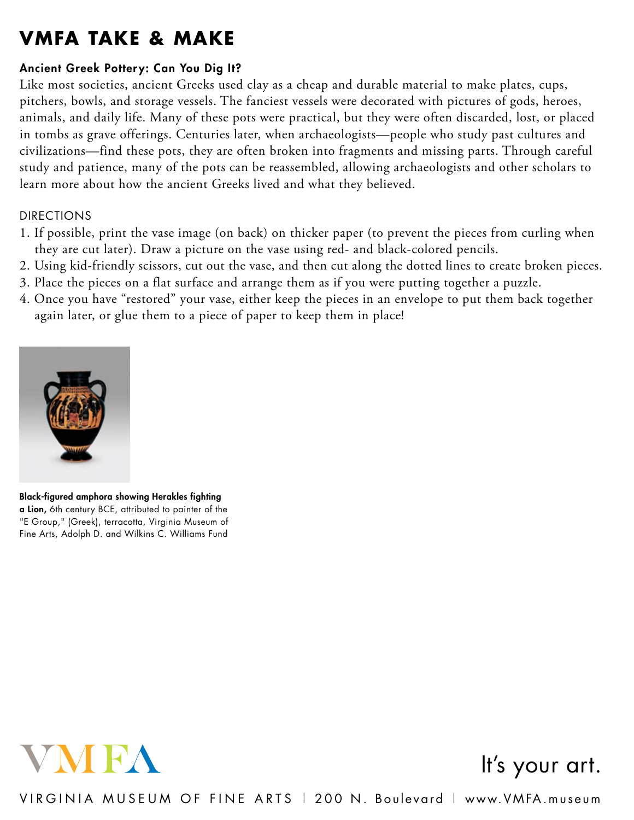## **VMFA Take & make**

## Ancient Greek Pottery: Can You Dig It?

Like most societies, ancient Greeks used clay as a cheap and durable material to make plates, cups, pitchers, bowls, and storage vessels. The fanciest vessels were decorated with pictures of gods, heroes, animals, and daily life. Many of these pots were practical, but they were often discarded, lost, or placed in tombs as grave offerings. Centuries later, when archaeologists—people who study past cultures and civilizations—find these pots, they are often broken into fragments and missing parts. Through careful study and patience, many of the pots can be reassembled, allowing archaeologists and other scholars to learn more about how the ancient Greeks lived and what they believed.

## DIRECTIONS

- 1. If possible, print the vase image (on back) on thicker paper (to prevent the pieces from curling when they are cut later). Draw a picture on the vase using red- and black-colored pencils.
- 2. Using kid-friendly scissors, cut out the vase, and then cut along the dotted lines to create broken pieces.
- 3. Place the pieces on a flat surface and arrange them as if you were putting together a puzzle.
- 4. Once you have "restored" your vase, either keep the pieces in an envelope to put them back together again later, or glue them to a piece of paper to keep them in place!



Black-figured amphora showing Herakles fighting a Lion, 6th century BCE, attributed to painter of the "E Group," (Greek), terracotta, Virginia Museum of Fine Arts, Adolph D. and Wilkins C. Williams Fund



## It's your art.

virginia museum of fine arts | 200 N . boulevard | www.VMFA.museum